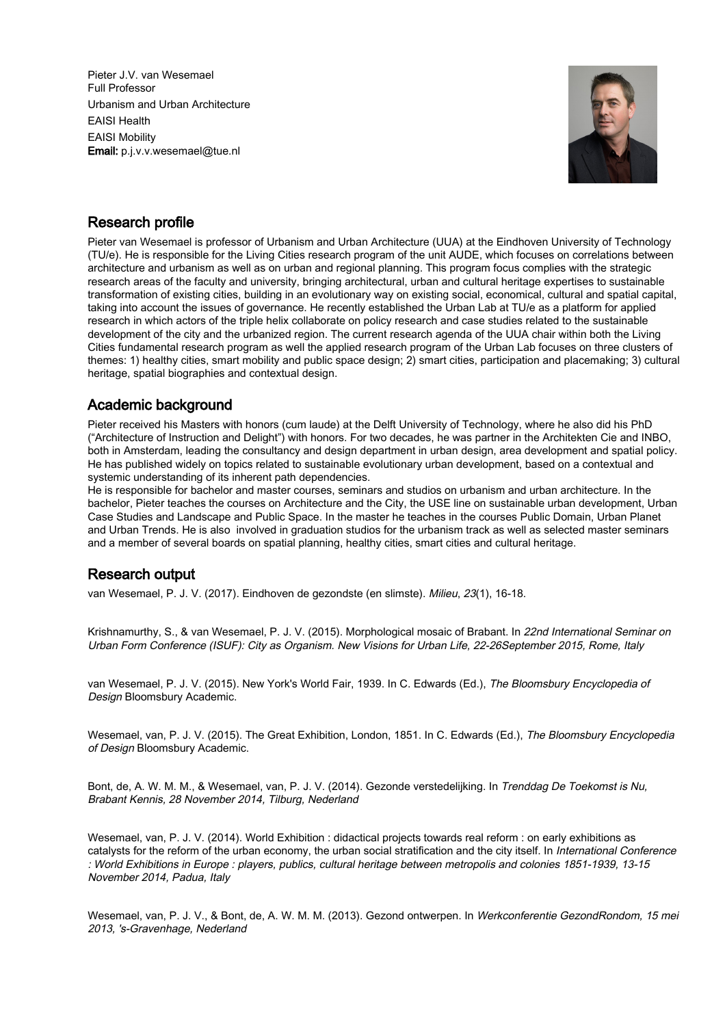Pieter J.V. van Wesemael Full Professor Urbanism and Urban Architecture EAISI Health EAISI Mobility Email: p.j.v.v.wesemael@tue.nl



## Research profile

Pieter van Wesemael is professor of Urbanism and Urban Architecture (UUA) at the Eindhoven University of Technology (TU/e). He is responsible for the Living Cities research program of the unit AUDE, which focuses on correlations between architecture and urbanism as well as on urban and regional planning. This program focus complies with the strategic research areas of the faculty and university, bringing architectural, urban and cultural heritage expertises to sustainable transformation of existing cities, building in an evolutionary way on existing social, economical, cultural and spatial capital, taking into account the issues of governance. He recently established the Urban Lab at TU/e as a platform for applied research in which actors of the triple helix collaborate on policy research and case studies related to the sustainable development of the city and the urbanized region. The current research agenda of the UUA chair within both the Living Cities fundamental research program as well the applied research program of the Urban Lab focuses on three clusters of themes: 1) healthy cities, smart mobility and public space design; 2) smart cities, participation and placemaking; 3) cultural heritage, spatial biographies and contextual design.

## Academic background

Pieter received his Masters with honors (cum laude) at the Delft University of Technology, where he also did his PhD ("Architecture of Instruction and Delight") with honors. For two decades, he was partner in the Architekten Cie and INBO, both in Amsterdam, leading the consultancy and design department in urban design, area development and spatial policy. He has published widely on topics related to sustainable evolutionary urban development, based on a contextual and systemic understanding of its inherent path dependencies.

He is responsible for bachelor and master courses, seminars and studios on urbanism and urban architecture. In the bachelor, Pieter teaches the courses on Architecture and the City, the USE line on sustainable urban development, Urban Case Studies and Landscape and Public Space. In the master he teaches in the courses Public Domain, Urban Planet and Urban Trends. He is also involved in graduation studios for the urbanism track as well as selected master seminars and a member of several boards on spatial planning, healthy cities, smart cities and cultural heritage.

## Research output

van Wesemael, P. J. V. (2017). Eindhoven de gezondste (en slimste). Milieu, 23(1), 16-18.

Krishnamurthy, S., & van Wesemael, P. J. V. (2015). Morphological mosaic of Brabant. In 22nd International Seminar on Urban Form Conference (ISUF): City as Organism. New Visions for Urban Life, 22-26September 2015, Rome, Italy

van Wesemael, P. J. V. (2015). New York's World Fair, 1939. In C. Edwards (Ed.), The Bloomsbury Encyclopedia of Design Bloomsbury Academic.

Wesemael, van, P. J. V. (2015). The Great Exhibition, London, 1851. In C. Edwards (Ed.), The Bloomsbury Encyclopedia of Design Bloomsbury Academic.

Bont, de, A. W. M. M., & Wesemael, van, P. J. V. (2014). Gezonde verstedelijking. In Trenddag De Toekomst is Nu, Brabant Kennis, 28 November 2014, Tilburg, Nederland

Wesemael, van, P. J. V. (2014). World Exhibition : didactical projects towards real reform : on early exhibitions as catalysts for the reform of the urban economy, the urban social stratification and the city itself. In International Conference : World Exhibitions in Europe : players, publics, cultural heritage between metropolis and colonies 1851-1939, 13-15 November 2014, Padua, Italy

Wesemael, van, P. J. V., & Bont, de, A. W. M. M. (2013). Gezond ontwerpen. In Werkconferentie GezondRondom, 15 mei 2013, 's-Gravenhage, Nederland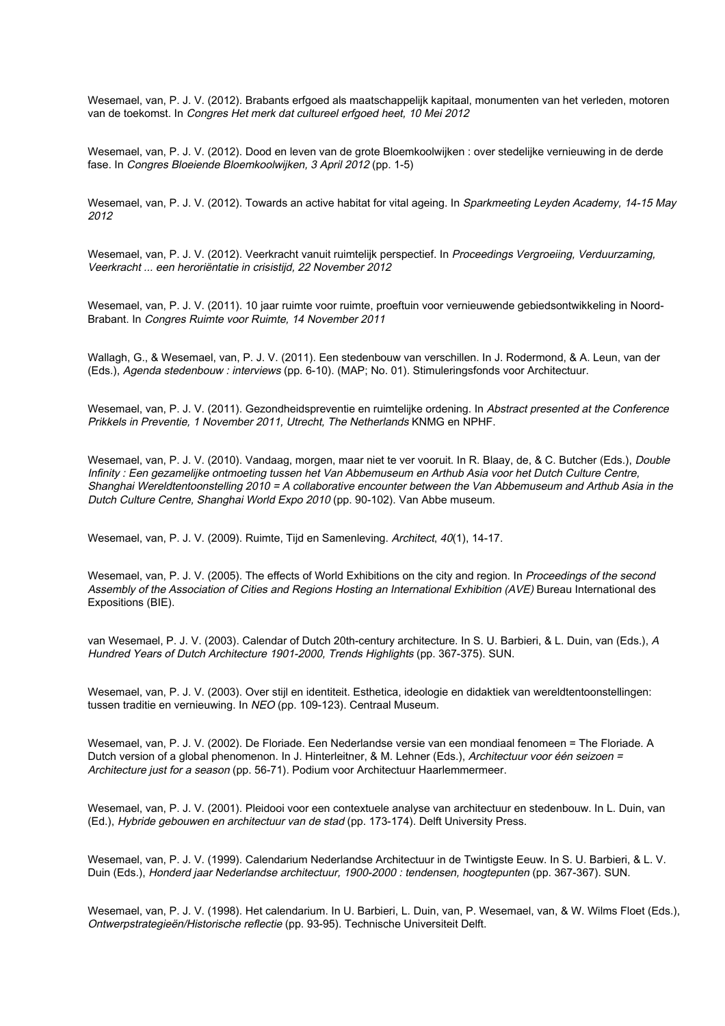Wesemael, van, P. J. V. (2012). Brabants erfgoed als maatschappelijk kapitaal, monumenten van het verleden, motoren van de toekomst. In Congres Het merk dat cultureel erfgoed heet, 10 Mei 2012

Wesemael, van, P. J. V. (2012). Dood en leven van de grote Bloemkoolwijken : over stedelijke vernieuwing in de derde fase. In Congres Bloeiende Bloemkoolwijken, 3 April 2012 (pp. 1-5)

Wesemael, van, P. J. V. (2012). Towards an active habitat for vital ageing. In Sparkmeeting Leyden Academy, 14-15 May 2012

Wesemael, van, P. J. V. (2012). Veerkracht vanuit ruimtelijk perspectief. In Proceedings Vergroeiing, Verduurzaming, Veerkracht ... een heroriëntatie in crisistijd, 22 November 2012

Wesemael, van, P. J. V. (2011). 10 jaar ruimte voor ruimte, proeftuin voor vernieuwende gebiedsontwikkeling in Noord-Brabant. In Congres Ruimte voor Ruimte, 14 November 2011

Wallagh, G., & Wesemael, van, P. J. V. (2011). Een stedenbouw van verschillen. In J. Rodermond, & A. Leun, van der (Eds.), Agenda stedenbouw : interviews (pp. 6-10). (MAP; No. 01). Stimuleringsfonds voor Architectuur.

Wesemael, van, P. J. V. (2011). Gezondheidspreventie en ruimtelijke ordening. In Abstract presented at the Conference Prikkels in Preventie, 1 November 2011, Utrecht, The Netherlands KNMG en NPHF.

Wesemael, van, P. J. V. (2010). Vandaag, morgen, maar niet te ver vooruit. In R. Blaay, de, & C. Butcher (Eds.), Double Infinity : Een gezamelijke ontmoeting tussen het Van Abbemuseum en Arthub Asia voor het Dutch Culture Centre, Shanghai Wereldtentoonstelling 2010 = A collaborative encounter between the Van Abbemuseum and Arthub Asia in the Dutch Culture Centre, Shanghai World Expo 2010 (pp. 90-102). Van Abbe museum.

Wesemael, van, P. J. V. (2009). Ruimte, Tijd en Samenleving. Architect, 40(1), 14-17.

Wesemael, van, P. J. V. (2005). The effects of World Exhibitions on the city and region. In Proceedings of the second Assembly of the Association of Cities and Regions Hosting an International Exhibition (AVE) Bureau International des Expositions (BIE).

van Wesemael, P. J. V. (2003). Calendar of Dutch 20th-century architecture. In S. U. Barbieri, & L. Duin, van (Eds.), A Hundred Years of Dutch Architecture 1901-2000, Trends Highlights (pp. 367-375). SUN.

Wesemael, van, P. J. V. (2003). Over stijl en identiteit. Esthetica, ideologie en didaktiek van wereldtentoonstellingen: tussen traditie en vernieuwing. In NEO (pp. 109-123). Centraal Museum.

Wesemael, van, P. J. V. (2002). De Floriade. Een Nederlandse versie van een mondiaal fenomeen = The Floriade. A Dutch version of a global phenomenon. In J. Hinterleitner, & M. Lehner (Eds.), Architectuur voor één seizoen = Architecture just for a season (pp. 56-71). Podium voor Architectuur Haarlemmermeer.

Wesemael, van, P. J. V. (2001). Pleidooi voor een contextuele analyse van architectuur en stedenbouw. In L. Duin, van (Ed.), Hybride gebouwen en architectuur van de stad (pp. 173-174). Delft University Press.

Wesemael, van, P. J. V. (1999). Calendarium Nederlandse Architectuur in de Twintigste Eeuw. In S. U. Barbieri, & L. V. Duin (Eds.), Honderd jaar Nederlandse architectuur, 1900-2000 : tendensen, hoogtepunten (pp. 367-367). SUN.

Wesemael, van, P. J. V. (1998). Het calendarium. In U. Barbieri, L. Duin, van, P. Wesemael, van, & W. Wilms Floet (Eds.), Ontwerpstrategieën/Historische reflectie (pp. 93-95). Technische Universiteit Delft.